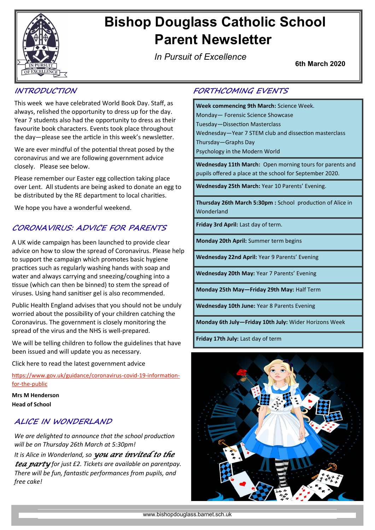

# **Bishop Douglass Catholic School Parent Newsletter**

*In Pursuit of Excellence*

**6th March 2020**

## **INTRODUCTION**

This week we have celebrated World Book Day. Staff, as always, relished the opportunity to dress up for the day. Year 7 students also had the opportunity to dress as their favourite book characters. Events took place throughout the day—please see the article in this week's newsletter.

We are ever mindful of the potential threat posed by the coronavirus and we are following government advice closely. Please see below.

Please remember our Easter egg collection taking place over Lent. All students are being asked to donate an egg to be distributed by the RE department to local charities.

We hope you have a wonderful weekend.

## **CORONAVIRUS: ADVICE FOR PARENTS**

A UK wide campaign has been launched to provide clear advice on how to slow the spread of Coronavirus. Please help to support the campaign which promotes basic hygiene practices such as regularly washing hands with soap and water and always carrying and sneezing/coughing into a tissue (which can then be binned) to stem the spread of viruses. Using hand sanitiser gel is also recommended.

Public Health England advises that you should not be unduly worried about the possibility of your children catching the Coronavirus. The government is closely monitoring the spread of the virus and the NHS is well-prepared.

We will be telling children to follow the guidelines that have been issued and will update you as necessary.

Click here to read the latest government advice

[https://www.gov.uk/guidance/coronavirus](https://www.gov.uk/guidance/coronavirus-covid-19-information-for-the-public)-covid-19-informationfor-the-[public](https://www.gov.uk/guidance/coronavirus-covid-19-information-for-the-public)

**Mrs M Henderson Head of School**

## **ALICE IN WONDERLAND**

*We are delighted to announce that the school production will be on Thursday 26th March at 5:30pm! It is Alice in Wonderland, so you are invited to the tea party for just £2. Tickets are available on parentpay. There will be fun, fantastic performances from pupils, and free cake!*

## **FORTHCOMING EVENTS**

**Week commencing 9th March:** Science Week. Monday— Forensic Science Showcase Tuesday—Dissection Masterclass Wednesday—Year 7 STEM club and dissection masterclass Thursday—Graphs Day Psychology in the Modern World

**Wednesday 11th March:** Open morning tours for parents and pupils offered a place at the school for September 2020.

**Wednesday 25th March:** Year 10 Parents' Evening.

**Thursday 26th March 5:30pm :** School production of Alice in Wonderland

**Friday 3rd April:** Last day of term.

**Monday 20th April:** Summer term begins

**Wednesday 22nd April:** Year 9 Parents' Evening

**Wednesday 20th May:** Year 7 Parents' Evening

**Monday 25th May—Friday 29th May:** Half Term

**Wednesday 10th June:** Year 8 Parents Evening

**Monday 6th July—Friday 10th July:** Wider Horizons Week

**Friday 17th July:** Last day of term

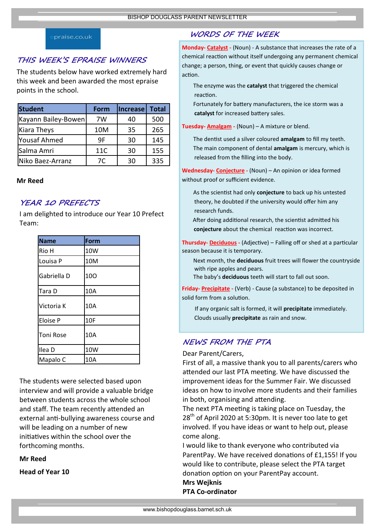#### praise.co.uk

#### **THIS WEEK'S EPRAISE WINNERS**

The students below have worked extremely hard this week and been awarded the most epraise points in the school.

| <b>Student</b>      | Form | <b>Increase</b> | <b>Total</b> |
|---------------------|------|-----------------|--------------|
| Kayann Bailey-Bowen | 7W   | 40              | 500          |
| <b>Kiara Theys</b>  | 10M  | 35              | 265          |
| <b>Yousaf Ahmed</b> | 9F   | 30              | 145          |
| Salma Amri          | 11C  | 30              | 155          |
| Niko Baez-Arranz    | 7C   | 30              | 335          |

#### **Mr Reed**

#### **YEAR 10 PREFECTS**

I am delighted to introduce our Year 10 Prefect Team:

| <b>Name</b>      | Form |
|------------------|------|
| Rio H            | 10W  |
| Louisa P         | 10M  |
| Gabriella D      | 100  |
| Tara D           | 10A  |
| Victoria K       | 10A  |
| <b>Eloise P</b>  | 10F  |
| <b>Toni Rose</b> | 10A  |
| Ilea D           | 10W  |
| Mapalo C         | 10A  |

The students were selected based upon interview and will provide a valuable bridge between students across the whole school and staff. The team recently attended an external anti-bullying awareness course and will be leading on a number of new initiatives within the school over the forthcoming months.

**Mr Reed**

**Head of Year 10**

## **WORDS OF THE WEEK**

**Monday- Catalyst -** (Noun) - A substance that increases the rate of a chemical reaction without itself undergoing any permanent chemical change; a person, thing, or event that quickly causes change or action.

The enzyme was the **catalyst** that triggered the chemical reaction.

Fortunately for battery manufacturers, the ice storm was a **catalyst** for increased battery sales.

**Tuesday- Amalgam -** (Noun) – A mixture or blend.

The dentist used a silver coloured **amalgam** to fill my teeth. The main component of dental **amalgam** is mercury, which is released from the filling into the body.

**Wednesday- Conjecture -** (Noun) – An opinion or idea formed without proof or sufficient evidence.

As the scientist had only **conjecture** to back up his untested theory, he doubted if the university would offer him any research funds.

After doing additional research, the scientist admitted his **conjecture** about the chemical reaction was incorrect.

**Thursday- Deciduous -** (Adjective) – Falling off or shed at a particular season because it is temporary.

Next month, the **deciduous** fruit trees will flower the countryside with ripe apples and pears.

The baby's **deciduous** teeth will start to fall out soon.

**Friday- Precipitate -** (Verb) - Cause (a substance) to be deposited in solid form from a solution.

If any organic salt is formed, it will **precipitate** immediately. Clouds usually **precipitate** as rain and snow.

## **NEWS FROM THE PTA**

Dear Parent/Carers,

First of all, a massive thank you to all parents/carers who attended our last PTA meeting. We have discussed the improvement ideas for the Summer Fair. We discussed ideas on how to involve more students and their families in both, organising and attending.

The next PTA meeting is taking place on Tuesday, the  $28<sup>th</sup>$  of April 2020 at 5:30pm. It is never too late to get involved. If you have ideas or want to help out, please come along.

I would like to thank everyone who contributed via ParentPay. We have received donations of £1,155! If you would like to contribute, please select the PTA target donation option on your ParentPay account. **Mrs Wejknis**

**PTA Co-ordinator**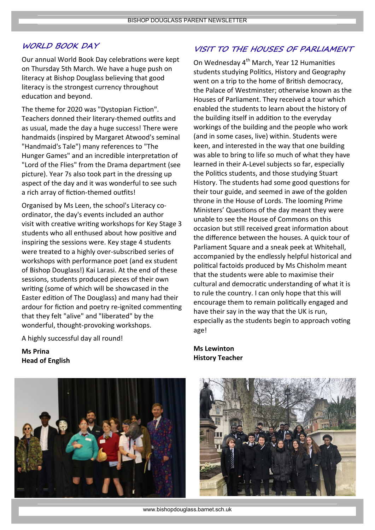### **WORLD BOOK DAY**

Our annual World Book Day celebrations were kept on Thursday 5th March. We have a huge push on literacy at Bishop Douglass believing that good literacy is the strongest currency throughout education and beyond.

The theme for 2020 was "Dystopian Fiction". Teachers donned their literary-themed outfits and as usual, made the day a huge success! There were handmaids (inspired by Margaret Atwood's seminal "Handmaid's Tale") many references to "The Hunger Games" and an incredible interpretation of "Lord of the Flies" from the Drama department (see picture). Year 7s also took part in the dressing up aspect of the day and it was wonderful to see such a rich array of fiction-themed outfits!

Organised by Ms Leen, the school's Literacy coordinator, the day's events included an author visit with creative writing workshops for Key Stage 3 students who all enthused about how positive and inspiring the sessions were. Key stage 4 students were treated to a highly over-subscribed series of workshops with performance poet (and ex student of Bishop Douglass!) Kai Larasi. At the end of these sessions, students produced pieces of their own writing (some of which will be showcased in the Easter edition of The Douglass) and many had their ardour for fiction and poetry re-ignited commenting that they felt "alive" and "liberated" by the wonderful, thought-provoking workshops.

A highly successful day all round!

**Ms Prina Head of English**



## **VISIT TO THE HOUSES OF PARLIAMENT**

On Wednesday 4<sup>th</sup> March, Year 12 Humanities students studying Politics, History and Geography went on a trip to the home of British democracy, the Palace of Westminster; otherwise known as the Houses of Parliament. They received a tour which enabled the students to learn about the history of the building itself in addition to the everyday workings of the building and the people who work (and in some cases, live) within. Students were keen, and interested in the way that one building was able to bring to life so much of what they have learned in their A-Level subjects so far, especially the Politics students, and those studying Stuart History. The students had some good questions for their tour guide, and seemed in awe of the golden throne in the House of Lords. The looming Prime Ministers' Questions of the day meant they were unable to see the House of Commons on this occasion but still received great information about the difference between the houses. A quick tour of Parliament Square and a sneak peek at Whitehall, accompanied by the endlessly helpful historical and political factoids produced by Ms Chisholm meant that the students were able to maximise their cultural and democratic understanding of what it is to rule the country. I can only hope that this will encourage them to remain politically engaged and have their say in the way that the UK is run, especially as the students begin to approach voting age!

**Ms Lewinton History Teacher**



www.bishopdouglass.barnet.sch.uk